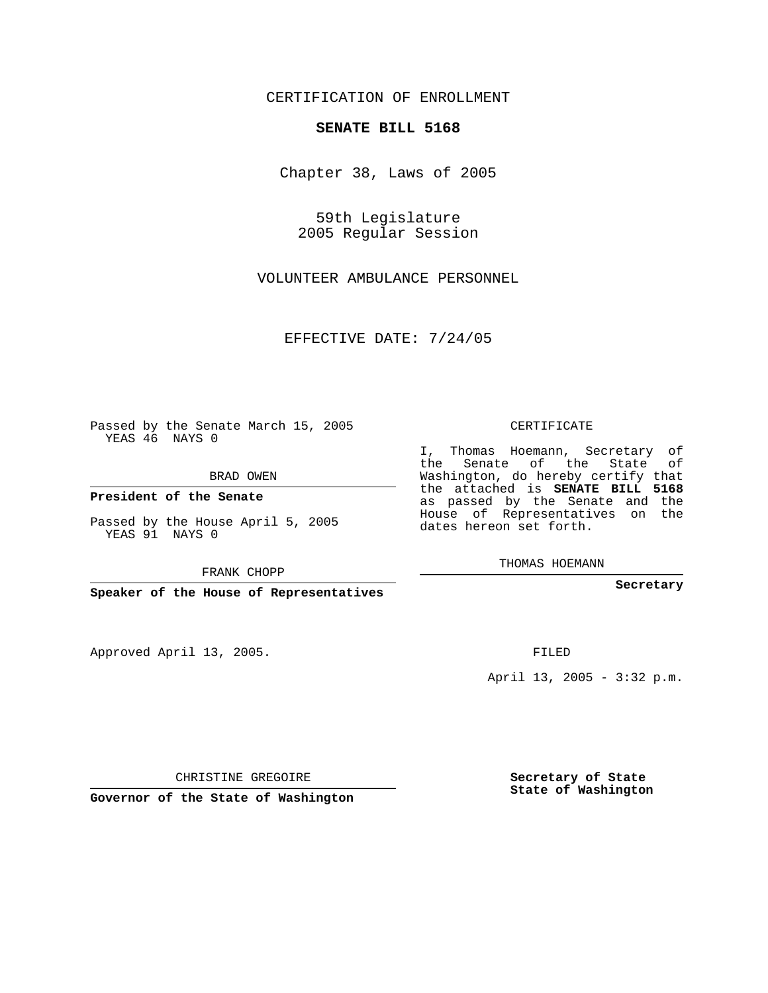## CERTIFICATION OF ENROLLMENT

## **SENATE BILL 5168**

Chapter 38, Laws of 2005

59th Legislature 2005 Regular Session

VOLUNTEER AMBULANCE PERSONNEL

EFFECTIVE DATE: 7/24/05

Passed by the Senate March 15, 2005 YEAS 46 NAYS 0

BRAD OWEN

**President of the Senate**

Passed by the House April 5, 2005 YEAS 91 NAYS 0

FRANK CHOPP

**Speaker of the House of Representatives**

Approved April 13, 2005.

CERTIFICATE

I, Thomas Hoemann, Secretary of the Senate of the State of Washington, do hereby certify that the attached is **SENATE BILL 5168** as passed by the Senate and the House of Representatives on the dates hereon set forth.

THOMAS HOEMANN

**Secretary**

FILED

April 13, 2005 - 3:32 p.m.

CHRISTINE GREGOIRE

**Governor of the State of Washington**

**Secretary of State State of Washington**